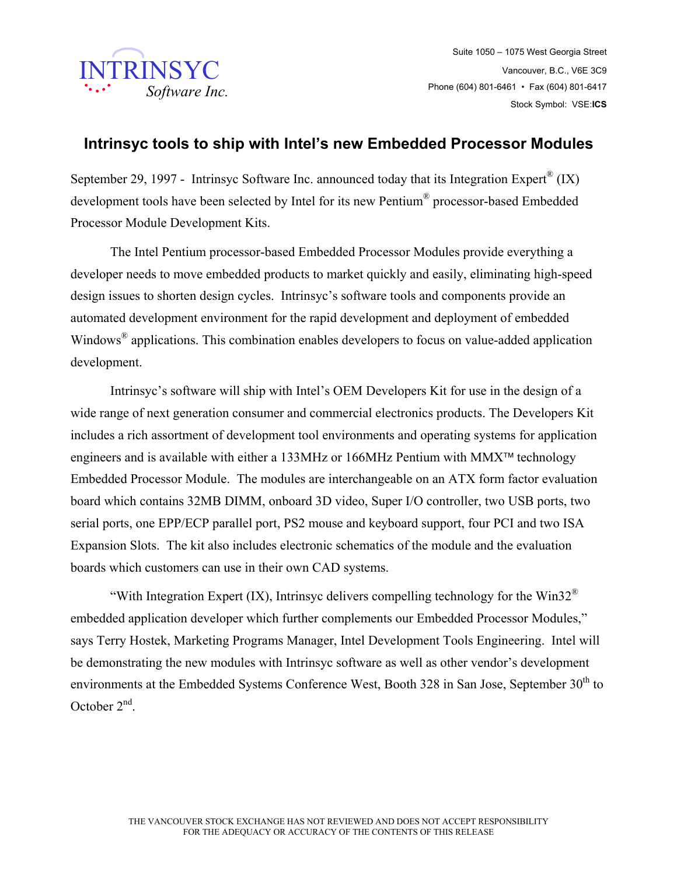

Suite 1050 – 1075 West Georgia Street Vancouver, B.C., V6E 3C9 Phone (604) 801-6461 • Fax (604) 801-6417 Stock Symbol: VSE:**ICS**

## **Intrinsyc tools to ship with Intel's new Embedded Processor Modules**

September 29, 1997 - Intrinsyc Software Inc. announced today that its Integration Expert<sup>®</sup> (IX) development tools have been selected by Intel for its new Pentium® processor-based Embedded Processor Module Development Kits.

 The Intel Pentium processor-based Embedded Processor Modules provide everything a developer needs to move embedded products to market quickly and easily, eliminating high-speed design issues to shorten design cycles. Intrinsyc's software tools and components provide an automated development environment for the rapid development and deployment of embedded Windows<sup>®</sup> applications. This combination enables developers to focus on value-added application development.

 Intrinsyc's software will ship with Intel's OEM Developers Kit for use in the design of a wide range of next generation consumer and commercial electronics products. The Developers Kit includes a rich assortment of development tool environments and operating systems for application engineers and is available with either a 133MHz or 166MHz Pentium with MMX<sup>TM</sup> technology Embedded Processor Module. The modules are interchangeable on an ATX form factor evaluation board which contains 32MB DIMM, onboard 3D video, Super I/O controller, two USB ports, two serial ports, one EPP/ECP parallel port, PS2 mouse and keyboard support, four PCI and two ISA Expansion Slots. The kit also includes electronic schematics of the module and the evaluation boards which customers can use in their own CAD systems.

"With Integration Expert (IX), Intrinsyc delivers compelling technology for the Win32 $^{\circ}$ embedded application developer which further complements our Embedded Processor Modules," says Terry Hostek, Marketing Programs Manager, Intel Development Tools Engineering. Intel will be demonstrating the new modules with Intrinsyc software as well as other vendor's development environments at the Embedded Systems Conference West, Booth 328 in San Jose, September 30<sup>th</sup> to October  $2<sup>nd</sup>$ .